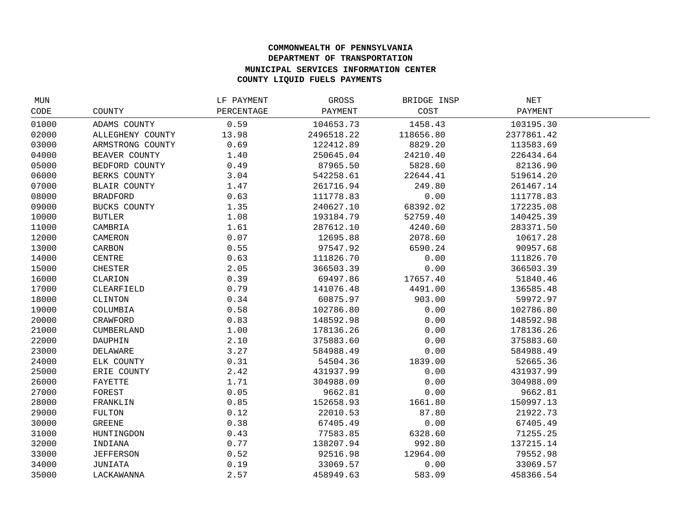## **COMMONWEALTH OF PENNSYLVANIA DEPARTMENT OF TRANSPORTATION MUNICIPAL SERVICES INFORMATION CENTER COUNTY LIQUID FUELS PAYMENTS**

| MUN   |                     | LF PAYMENT | GROSS      | BRIDGE INSP | NET        |  |
|-------|---------------------|------------|------------|-------------|------------|--|
| CODE  | COUNTY              | PERCENTAGE | PAYMENT    | COST        | PAYMENT    |  |
| 01000 | ADAMS COUNTY        | 0.59       | 104653.73  | 1458.43     | 103195.30  |  |
| 02000 | ALLEGHENY COUNTY    | 13.98      | 2496518.22 | 118656.80   | 2377861.42 |  |
| 03000 | ARMSTRONG COUNTY    | 0.69       | 122412.89  | 8829.20     | 113583.69  |  |
| 04000 | BEAVER COUNTY       | 1.40       | 250645.04  | 24210.40    | 226434.64  |  |
| 05000 | BEDFORD COUNTY      | 0.49       | 87965.50   | 5828.60     | 82136.90   |  |
| 06000 | BERKS COUNTY        | 3.04       | 542258.61  | 22644.41    | 519614.20  |  |
| 07000 | <b>BLAIR COUNTY</b> | 1.47       | 261716.94  | 249.80      | 261467.14  |  |
| 08000 | <b>BRADFORD</b>     | 0.63       | 111778.83  | 0.00        | 111778.83  |  |
| 09000 | BUCKS COUNTY        | 1.35       | 240627.10  | 68392.02    | 172235.08  |  |
| 10000 | <b>BUTLER</b>       | 1.08       | 193184.79  | 52759.40    | 140425.39  |  |
| 11000 | CAMBRIA             | 1.61       | 287612.10  | 4240.60     | 283371.50  |  |
| 12000 | CAMERON             | 0.07       | 12695.88   | 2078.60     | 10617.28   |  |
| 13000 | CARBON              | 0.55       | 97547.92   | 6590.24     | 90957.68   |  |
| 14000 | CENTRE              | 0.63       | 111826.70  | 0.00        | 111826.70  |  |
| 15000 | <b>CHESTER</b>      | 2.05       | 366503.39  | 0.00        | 366503.39  |  |
| 16000 | CLARION             | 0.39       | 69497.86   | 17657.40    | 51840.46   |  |
| 17000 | CLEARFIELD          | 0.79       | 141076.48  | 4491.00     | 136585.48  |  |
| 18000 | CLINTON             | 0.34       | 60875.97   | 903.00      | 59972.97   |  |
| 19000 | COLUMBIA            | 0.58       | 102786.80  | 0.00        | 102786.80  |  |
| 20000 | CRAWFORD            | 0.83       | 148592.98  | 0.00        | 148592.98  |  |
| 21000 | <b>CUMBERLAND</b>   | 1.00       | 178136.26  | 0.00        | 178136.26  |  |
| 22000 | DAUPHIN             | 2.10       | 375883.60  | 0.00        | 375883.60  |  |
| 23000 | DELAWARE            | 3.27       | 584988.49  | 0.00        | 584988.49  |  |
| 24000 | ELK COUNTY          | 0.31       | 54504.36   | 1839.00     | 52665.36   |  |
| 25000 | ERIE COUNTY         | 2.42       | 431937.99  | 0.00        | 431937.99  |  |
| 26000 | FAYETTE             | 1.71       | 304988.09  | 0.00        | 304988.09  |  |
| 27000 | FOREST              | 0.05       | 9662.81    | 0.00        | 9662.81    |  |
| 28000 | FRANKLIN            | 0.85       | 152658.93  | 1661.80     | 150997.13  |  |
| 29000 | FULTON              | 0.12       | 22010.53   | 87.80       | 21922.73   |  |
| 30000 | GREENE              | 0.38       | 67405.49   | 0.00        | 67405.49   |  |
| 31000 | HUNTINGDON          | 0.43       | 77583.85   | 6328.60     | 71255.25   |  |
| 32000 | INDIANA             | 0.77       | 138207.94  | 992.80      | 137215.14  |  |
| 33000 | <b>JEFFERSON</b>    | 0.52       | 92516.98   | 12964.00    | 79552.98   |  |
| 34000 | JUNIATA             | 0.19       | 33069.57   | 0.00        | 33069.57   |  |
| 35000 | LACKAWANNA          | 2.57       | 458949.63  | 583.09      | 458366.54  |  |